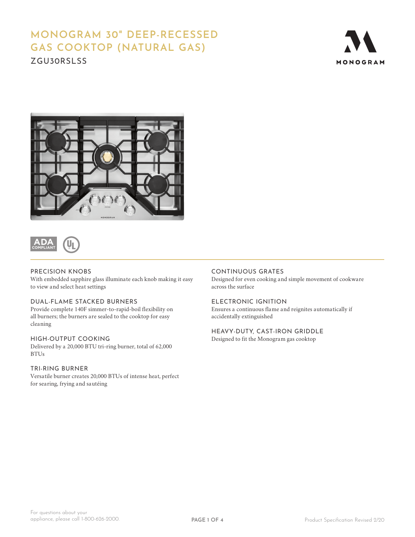# **MONOGRAM 30" DEEP-RECESSED GAS COOKTOP (NATURAL GAS)**

ZGU30RSLSS





**ADA COMPLIANT**

# PRECISION KNOBS

With embedded sapphire glass illuminate each knob making it easy to view and select heat settings

# DUAL-FLAME STACKED BURNERS

Provide complete 140F simmer-to-rapid-boil flexibility on all burners; the burners are sealed to the cooktop for easy cleaning

# HIGH-OUTPUT COOKING

Delivered by a 20,000 BTU tri-ring burner, total of 62,000 BTUs

# TRI-RING BURNER

Versatile burner creates 20,000 BTUs of intense heat, perfect for searing, frying and sautéing

# CONTINUOUS GRATES

Designed for even cooking and simple movement of cookware across the surface

# ELECTRONIC IGNITION

Ensures a continuous flame and reignites automatically if accidentally extinguished

### HEAVY-DUTY, CAST-IRON GRIDDLE

Designed to fit the Monogram gas cooktop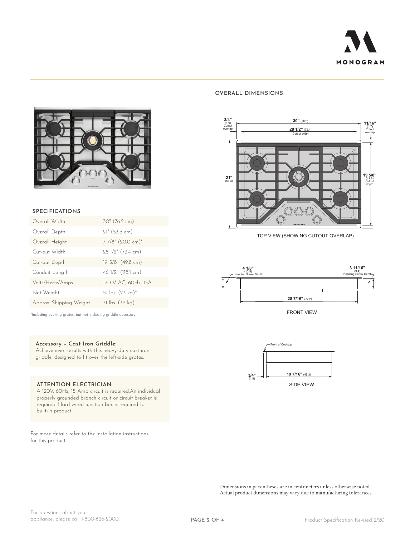



#### **SPECIFICATIONS**

| Overall Width           | 30" (76.2 cm)       |
|-------------------------|---------------------|
| Overall Depth           | 21" (53.3 cm)       |
| Overall Height          | 7 7/8" (20.0 cm)*   |
| Cut-out Width           | 28 1/2" (72.4 cm)   |
| Cut-out Depth           | 19 5/8" (49.8 cm)   |
| Conduit Length          | 46 1/2" (118.1 cm)  |
| Volts/Hertz/Amps        | 120 V AC, 60Hz, 15A |
| Net Weight              | 51 lbs. (23 kg)*    |
| Approx. Shipping Weight | 71 lbs. (32 kg)     |

\*Including cooking grates, but not including griddle accessory

#### **Accessory – Cast Iron Griddle:**

Achieve even results with this heavy-duty cast iron griddle, designed to fit over the left-side grates.

#### **ATTENTION ELECTRICIAN:**

A 120V, 60Hz, 15 Amp circuit is required.An individual properly grounded branch circuit or circuit breaker is required. Hard wired junction box is required for built-in product.

For more details refer to the installation instructions for this product.

#### **OVERALL DIMENSIONS**



TOP VIEW (SHOWING CUTOUT OVERLAP)



FRONT VIEW



Dimensions in parentheses are in centimeters unless otherwise noted. Actual product dimensions may vary due to manufacturing tolerances.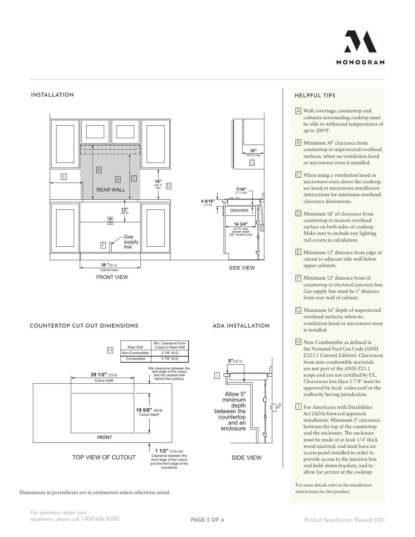

#### **INSTALLATION HELPFUL TIPS**



#### **COUNTERTOP CUT-OUT DIMENSIONS**



Dimensions in parentheses are in centimeters unless otherwise noted.

## **ADA INSTALLATION**



- A Wall coverings, countertop and cabinets surrounding cooktop must be able to withstand temperatures of up to 200ºF.
- B Minimum 30" clearance from countertop to unprotected overhead surfaces, when no ventilation hood or microwave oven is installed.
- C When using a ventilation hood or microwave oven above the cooktop, see hood or microwave installation instructions for minimum overhead clearance dimensions.
- D Minimum 18" of clearance from countertop to nearest overhead surface on both sides of cooktop. Make sure to include any lighting rail covers in calculation.
- $E$  Minimum 12" distance from edge of cutout to adjacent side wall below upper cabinets.
- $\boxed{\vdash}$  Minimum 12" distance from of countertop to electrical junction box. Gas supply line must be 1" distance from rear wall of cabinet.
- G Maximum 16" depth of unprotected overhead surfaces, when no ventilation hood or microwave oven is installed.
- $\overline{H}$  Non-Combustible as defined in the National Fuel Gas Code (ANSI Z223.1 Current Edition). Clearances from non-combustible materials are not part of the ANSI Z21.1 scope and are not certified by UL. Clearances less than 3 7/8" must be approved by local codes and/or the authority having jurisdiction.
- I For Americans with Disabilities Act (ADA) forward approach installation: Minimum 5" clearance between the top of the countertop and the enclosure. The enclosure must be made of at least 1/4" thick wood material, and must have an access panel installed in order to provide access to the junction box and hold-down brackets, and to allow for service of the cooktop.

For more details refer to the installation instructions for this product.